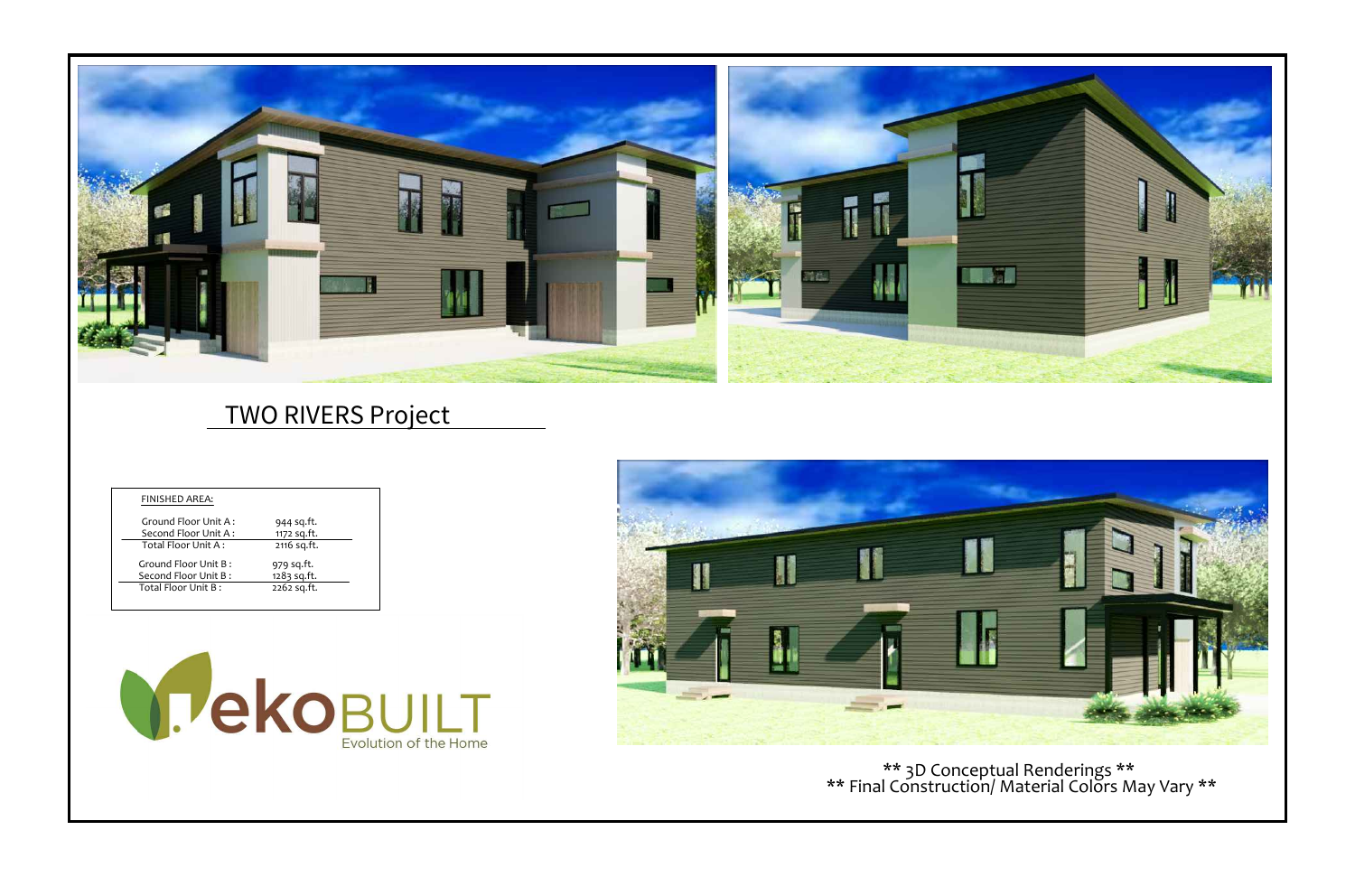

| <b>FINISHED AREA:</b> |             |
|-----------------------|-------------|
| Ground Floor Unit A:  | 944 sq.ft.  |
| Second Floor Unit A:  | 1172 sq.ft. |
| Total Floor Unit A:   | 2116 sq.ft. |
| Ground Floor Unit B:  | 979 sq.ft.  |
| Second Floor Unit B:  | 1283 sq.ft. |
| Total Floor Unit B:   | 2262 sq.ft. |



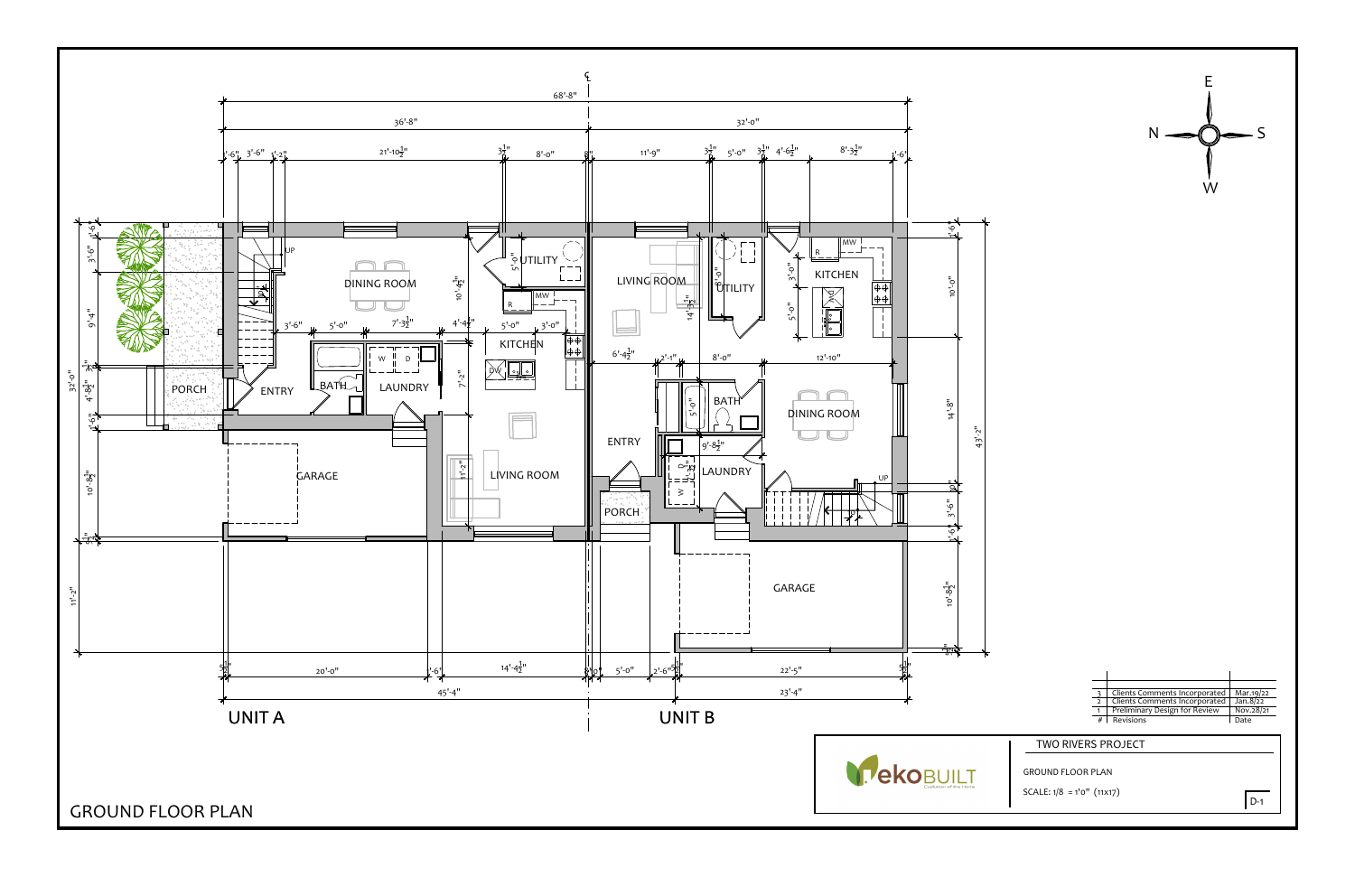

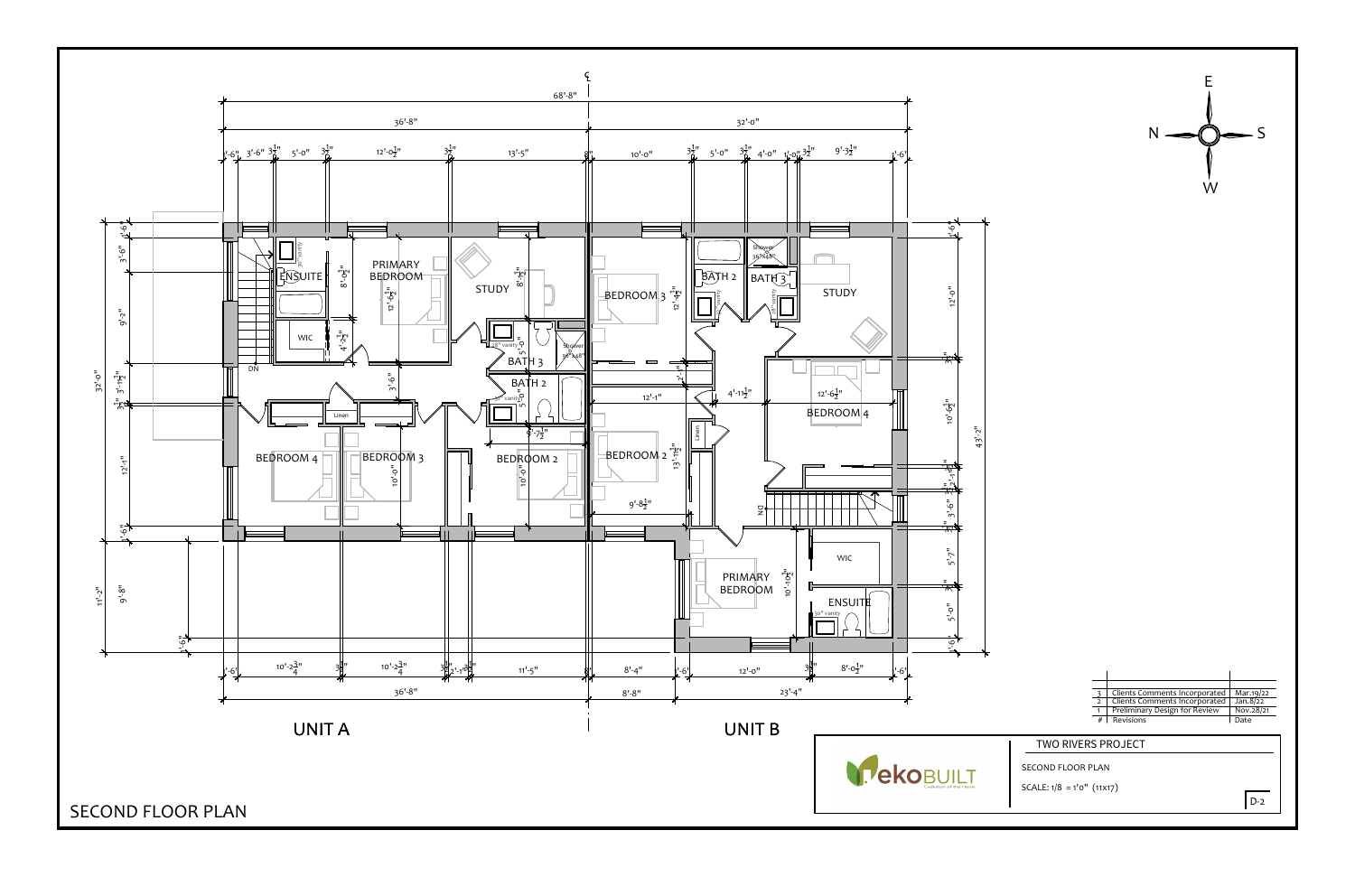

Matter 1 Revisions Comments Incorporated Marting 1 22<br>
2 Clients Comments Incorporated Marting 22<br>
2 The Preliminary Design for Review Nov.28/21<br>
2 TWO RIVERS PROJECT<br>
SECOND FLOOR PLAN<br>
SCALE: 1/8 = 1'0" (11x17)

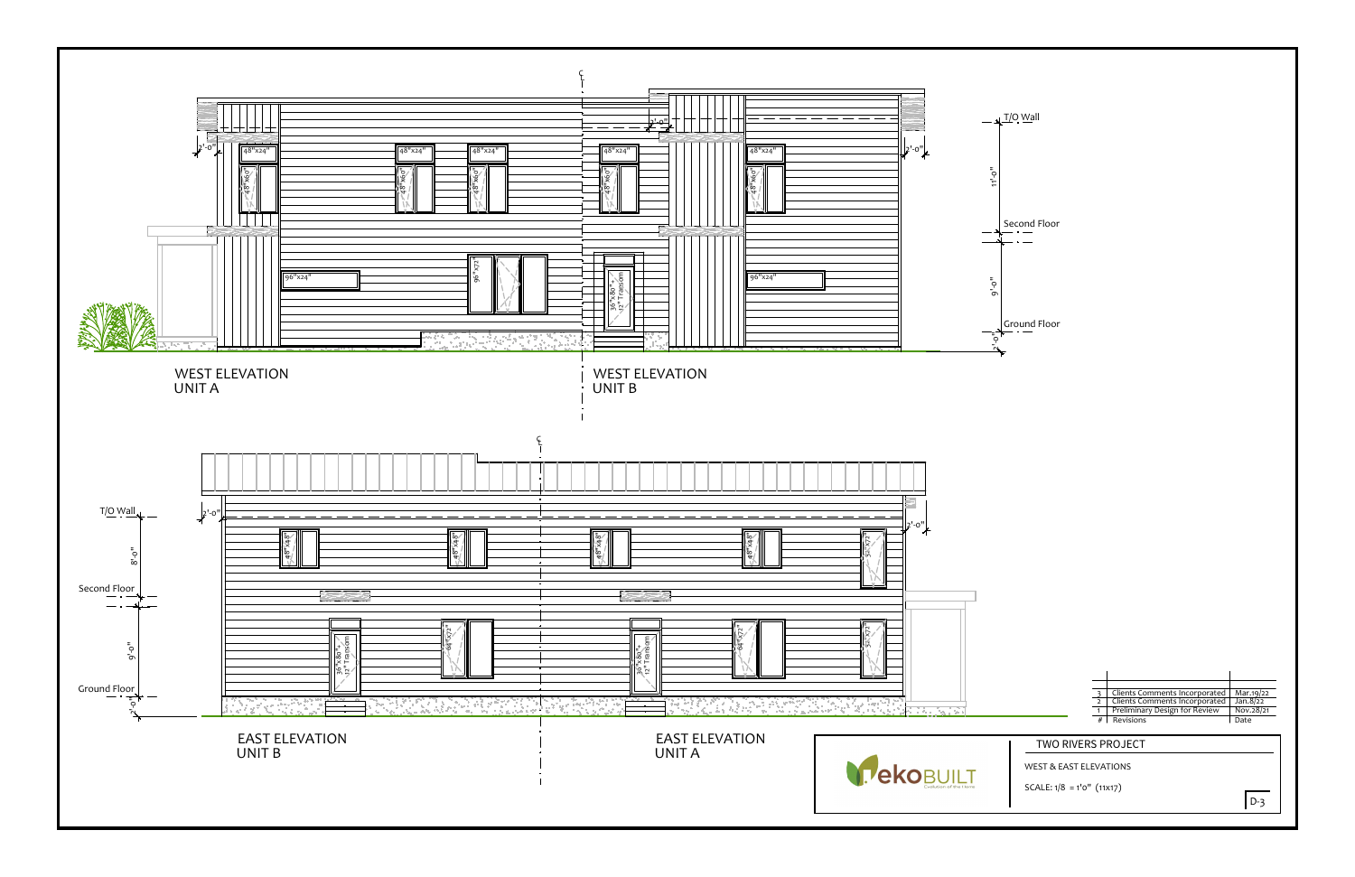



|  | Clients Comments Incorporated | Mar.19/22 |
|--|-------------------------------|-----------|
|  | Clients Comments Incorporated | Jan.8/22  |
|  | Preliminary Design for Review | Nov.28/21 |
|  | #   Revisions                 | Date      |